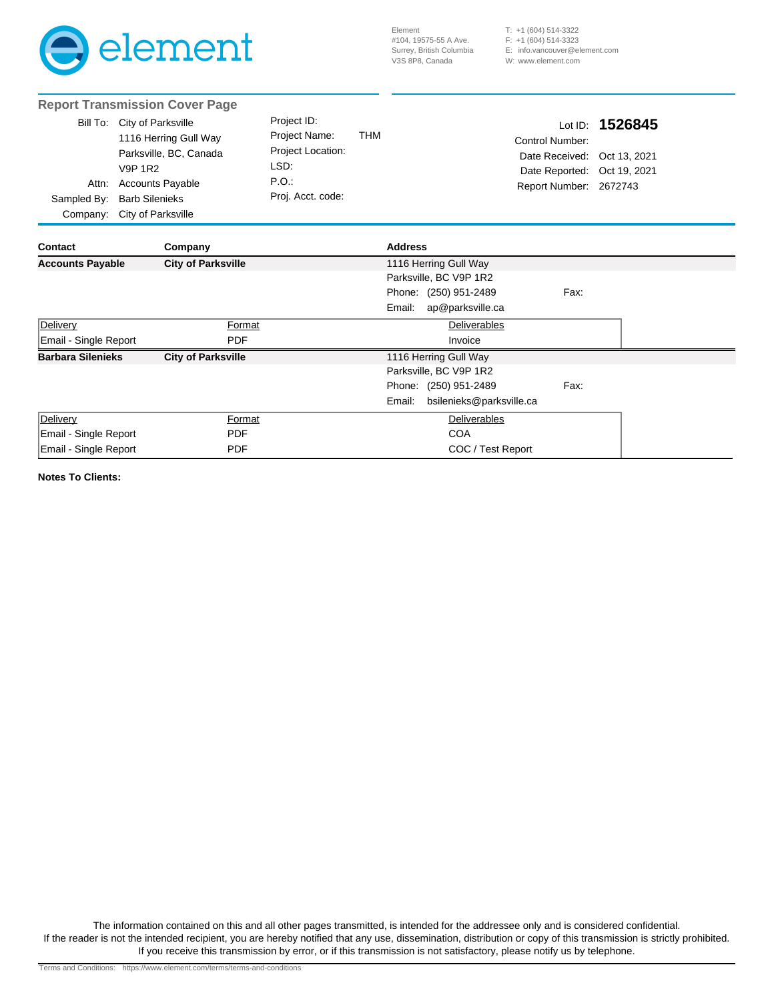

(604) 514-3322 T: +1 (604) 514-3323 F: +1 E: info.vancouver@element.com W: www.element.com

|                                                                                                                                                                                                    | <b>Report Transmission Cover Page</b> |                                                                                        |            |                                                                                          |                          |                                         |  |  |
|----------------------------------------------------------------------------------------------------------------------------------------------------------------------------------------------------|---------------------------------------|----------------------------------------------------------------------------------------|------------|------------------------------------------------------------------------------------------|--------------------------|-----------------------------------------|--|--|
| Bill To: City of Parksville<br>1116 Herring Gull Way<br>Parksville, BC, Canada<br><b>V9P 1R2</b><br><b>Accounts Payable</b><br>Attn:<br>Sampled By:<br><b>Barb Silenieks</b><br>City of Parksville |                                       | Project ID:<br>Project Name:<br>Project Location:<br>LSD:<br>P.O.<br>Proj. Acct. code: | <b>THM</b> | Lot ID:<br>Control Number:<br>Date Received:<br>Date Reported:<br>Report Number: 2672743 |                          | 1526845<br>Oct 13, 2021<br>Oct 19, 2021 |  |  |
| Company:                                                                                                                                                                                           |                                       |                                                                                        |            |                                                                                          |                          |                                         |  |  |
| Contact                                                                                                                                                                                            | Company                               |                                                                                        |            | <b>Address</b>                                                                           |                          |                                         |  |  |
| <b>Accounts Payable</b><br><b>City of Parksville</b>                                                                                                                                               |                                       |                                                                                        |            |                                                                                          | 1116 Herring Gull Way    |                                         |  |  |
|                                                                                                                                                                                                    |                                       |                                                                                        |            |                                                                                          | Parksville, BC V9P 1R2   |                                         |  |  |
|                                                                                                                                                                                                    |                                       |                                                                                        |            |                                                                                          | Phone: (250) 951-2489    | Fax:                                    |  |  |
|                                                                                                                                                                                                    |                                       |                                                                                        |            | Email:                                                                                   | ap@parksville.ca         |                                         |  |  |
| Delivery<br>Format                                                                                                                                                                                 |                                       |                                                                                        |            | Deliverables                                                                             |                          |                                         |  |  |
| Email - Single Report                                                                                                                                                                              | <b>PDF</b>                            |                                                                                        |            |                                                                                          | Invoice                  |                                         |  |  |
| <b>Barbara Silenieks</b>                                                                                                                                                                           | <b>City of Parksville</b>             |                                                                                        |            |                                                                                          | 1116 Herring Gull Way    |                                         |  |  |
|                                                                                                                                                                                                    |                                       |                                                                                        |            |                                                                                          | Parksville, BC V9P 1R2   |                                         |  |  |
|                                                                                                                                                                                                    |                                       |                                                                                        |            |                                                                                          | Phone: (250) 951-2489    | Fax:                                    |  |  |
|                                                                                                                                                                                                    |                                       |                                                                                        |            | Email:                                                                                   | bsilenieks@parksville.ca |                                         |  |  |
| Delivery                                                                                                                                                                                           | Format                                |                                                                                        |            | Deliverables                                                                             |                          |                                         |  |  |
| Email - Single Report                                                                                                                                                                              | <b>PDF</b>                            |                                                                                        |            |                                                                                          | COA                      |                                         |  |  |
| Email - Single Report<br><b>PDF</b>                                                                                                                                                                |                                       |                                                                                        |            | COC / Test Report                                                                        |                          |                                         |  |  |

**Notes To Clients:**

The information contained on this and all other pages transmitted, is intended for the addressee only and is considered confidential. If the reader is not the intended recipient, you are hereby notified that any use, dissemination, distribution or copy of this transmission is strictly prohibited. If you receive this transmission by error, or if this transmission is not satisfactory, please notify us by telephone.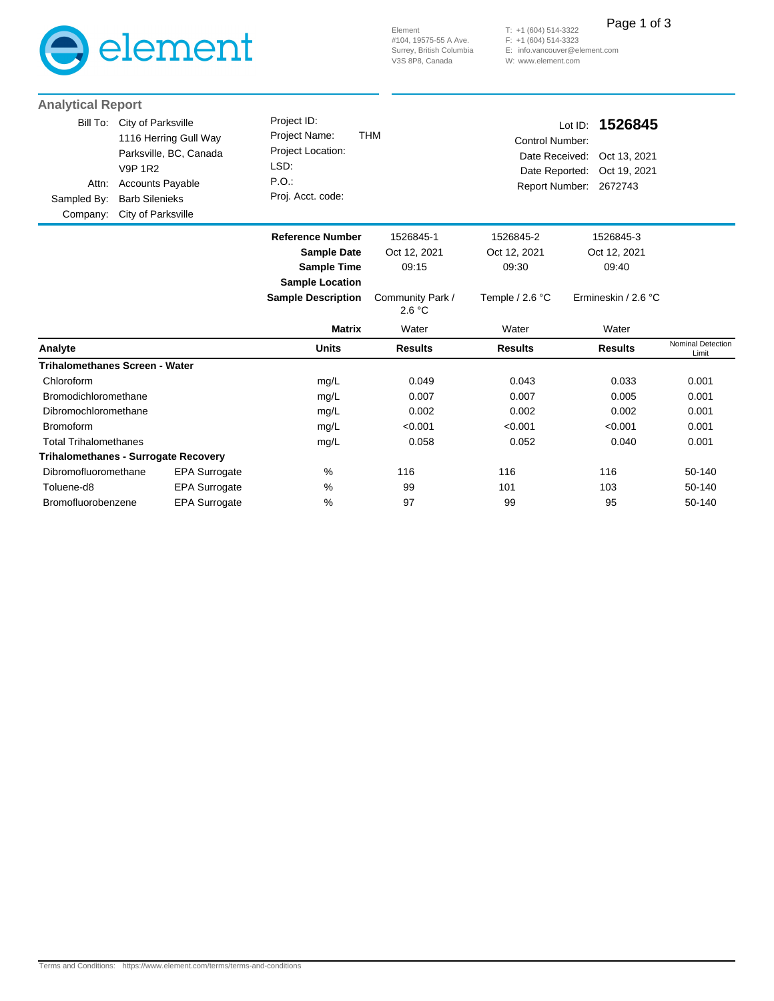

Element #104, 19575-55 A Ave. Surrey, British Columbia V3S 8P8, Canada

(604) 514-3322 (604) 514-3323 E: info.vancouver@element.com W: www.element.com T: +1 F: +1 Page 1 of 3

| <b>Analytical Report</b>                     |                                                                                                                                                                   |                                                                                        |                            |                                                     |                                                                              |                            |
|----------------------------------------------|-------------------------------------------------------------------------------------------------------------------------------------------------------------------|----------------------------------------------------------------------------------------|----------------------------|-----------------------------------------------------|------------------------------------------------------------------------------|----------------------------|
| Bill To:<br>Attn:<br>Sampled By:<br>Company: | City of Parksville<br>1116 Herring Gull Way<br>Parksville, BC, Canada<br><b>V9P 1R2</b><br><b>Accounts Payable</b><br><b>Barb Silenieks</b><br>City of Parksville | Project ID:<br>Project Name:<br>Project Location:<br>LSD:<br>P.O.<br>Proj. Acct. code: | <b>THM</b>                 | Control Number:<br>Date Received:<br>Date Reported: | 1526845<br>Lot ID:<br>Oct 13, 2021<br>Oct 19, 2021<br>Report Number: 2672743 |                            |
|                                              |                                                                                                                                                                   | <b>Reference Number</b>                                                                | 1526845-1                  | 1526845-2                                           | 1526845-3                                                                    |                            |
|                                              |                                                                                                                                                                   | <b>Sample Date</b>                                                                     | Oct 12, 2021               | Oct 12, 2021                                        | Oct 12, 2021                                                                 |                            |
|                                              |                                                                                                                                                                   | <b>Sample Time</b>                                                                     | 09:15                      | 09:30                                               | 09:40                                                                        |                            |
|                                              |                                                                                                                                                                   | <b>Sample Location</b>                                                                 |                            |                                                     |                                                                              |                            |
|                                              |                                                                                                                                                                   | <b>Sample Description</b>                                                              | Community Park /<br>2.6 °C | Temple / 2.6 °C                                     | Ermineskin / 2.6 °C                                                          |                            |
|                                              |                                                                                                                                                                   | <b>Matrix</b>                                                                          | Water                      | Water                                               | Water                                                                        |                            |
| Analyte                                      |                                                                                                                                                                   | <b>Units</b>                                                                           | <b>Results</b>             | <b>Results</b>                                      | <b>Results</b>                                                               | Nominal Detection<br>Limit |
|                                              | <b>Trihalomethanes Screen - Water</b>                                                                                                                             |                                                                                        |                            |                                                     |                                                                              |                            |
| Chloroform                                   |                                                                                                                                                                   | mg/L                                                                                   | 0.049                      | 0.043                                               | 0.033                                                                        | 0.001                      |
| Bromodichloromethane                         |                                                                                                                                                                   | mg/L                                                                                   | 0.007                      | 0.007                                               | 0.005                                                                        | 0.001                      |
| Dibromochloromethane                         |                                                                                                                                                                   | mg/L                                                                                   | 0.002                      | 0.002                                               | 0.002                                                                        | 0.001                      |
| <b>Bromoform</b>                             |                                                                                                                                                                   | mg/L                                                                                   | < 0.001                    | < 0.001                                             | < 0.001                                                                      | 0.001                      |
| <b>Total Trihalomethanes</b>                 |                                                                                                                                                                   | mg/L                                                                                   | 0.058                      | 0.052                                               | 0.040                                                                        | 0.001                      |
|                                              | <b>Trihalomethanes - Surrogate Recovery</b>                                                                                                                       |                                                                                        |                            |                                                     |                                                                              |                            |
| Dibromofluoromethane                         | EPA Surrogate                                                                                                                                                     | %                                                                                      | 116                        | 116                                                 | 116                                                                          | 50-140                     |
| Toluene-d8                                   | <b>EPA Surrogate</b>                                                                                                                                              | %                                                                                      | 99                         | 101                                                 | 103                                                                          | 50-140                     |
| Bromofluorobenzene                           | <b>EPA Surrogate</b>                                                                                                                                              | %                                                                                      | 97                         | 99                                                  | 95                                                                           | 50-140                     |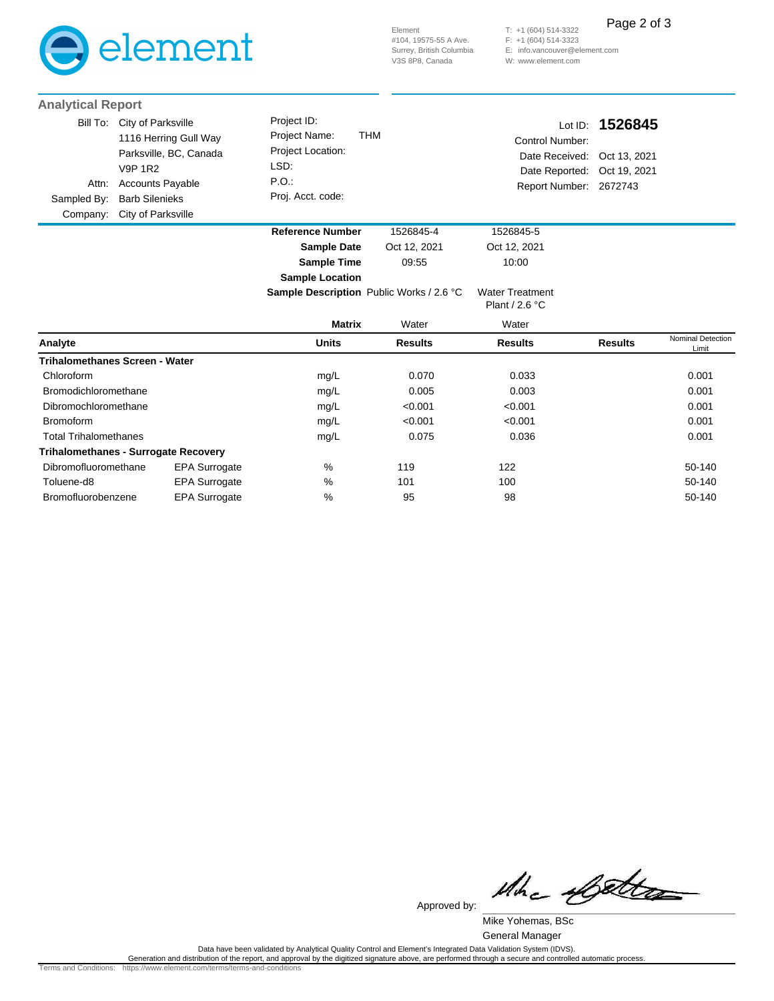

(604) 514-3322 T: +1 (604) 514-3323 F: +1 E: info.vancouver@element.com W: www.element.com Page 2 of 3

| <b>Analytical Report</b> |                                                                                                                                                                                          |                                                                                        |              |                                                                                                         |                 |
|--------------------------|------------------------------------------------------------------------------------------------------------------------------------------------------------------------------------------|----------------------------------------------------------------------------------------|--------------|---------------------------------------------------------------------------------------------------------|-----------------|
| Attn:                    | Bill To: City of Parksville<br>1116 Herring Gull Way<br>Parksville, BC, Canada<br><b>V9P 1R2</b><br><b>Accounts Payable</b><br>Sampled By: Barb Silenieks<br>Company: City of Parksville | Project ID:<br>Project Name:<br>Project Location:<br>LSD.<br>P.O.<br>Proj. Acct. code: | THM          | Control Number:<br>Date Received: Oct 13, 2021<br>Date Reported: Oct 19, 2021<br>Report Number: 2672743 | Lot ID: 1526845 |
|                          |                                                                                                                                                                                          | <b>Reference Number</b>                                                                | 1526845-4    | 1526845-5                                                                                               |                 |
|                          |                                                                                                                                                                                          | <b>Sample Date</b>                                                                     | Oct 12, 2021 | Oct 12, 2021                                                                                            |                 |

**Sample Location**

**Sample Time** 09:55 10:00

|                                             |                      | <b>Sample Description</b> Public Works / 2.6 °C |                | <b>Water Treatment</b><br>Plant / $2.6 °C$ |                |                                   |
|---------------------------------------------|----------------------|-------------------------------------------------|----------------|--------------------------------------------|----------------|-----------------------------------|
|                                             |                      | <b>Matrix</b>                                   | Water          | Water                                      |                |                                   |
| Analyte                                     |                      | <b>Units</b>                                    | <b>Results</b> | <b>Results</b>                             | <b>Results</b> | <b>Nominal Detection</b><br>Limit |
| Trihalomethanes Screen - Water              |                      |                                                 |                |                                            |                |                                   |
| Chloroform                                  |                      | mg/L                                            | 0.070          | 0.033                                      |                | 0.001                             |
| Bromodichloromethane                        |                      | mg/L                                            | 0.005          | 0.003                                      |                | 0.001                             |
| Dibromochloromethane                        |                      | mg/L                                            | < 0.001        | < 0.001                                    |                | 0.001                             |
| <b>Bromoform</b>                            |                      | mg/L                                            | < 0.001        | < 0.001                                    |                | 0.001                             |
| <b>Total Trihalomethanes</b>                |                      | mg/L                                            | 0.075          | 0.036                                      |                | 0.001                             |
| <b>Trihalomethanes - Surrogate Recovery</b> |                      |                                                 |                |                                            |                |                                   |
| Dibromofluoromethane                        | <b>EPA Surrogate</b> | $\%$                                            | 119            | 122                                        |                | 50-140                            |
| Toluene-d8                                  | <b>EPA Surrogate</b> | $\frac{0}{0}$                                   | 101            | 100                                        |                | 50-140                            |
| Bromofluorobenzene                          | <b>EPA Surrogate</b> | %                                               | 95             | 98                                         |                | 50-140                            |

Whe Cette

Mike Yohemas, BSc Approved by:

General Manager

.Data have been validated by Analytical Quality Control and Element's Integrated Data Validation System (IDVS)<br>Generation and distribution of the report, and approval by the digitized signature above, are performed through

Terms and Conditions: https://www.element.com/terms/terms-and-conditions